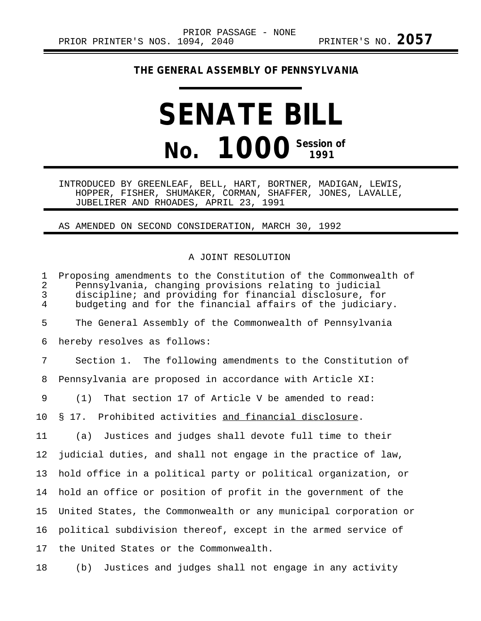## **THE GENERAL ASSEMBLY OF PENNSYLVANIA**

## **SENATE BILL No. 1000 Session of**

INTRODUCED BY GREENLEAF, BELL, HART, BORTNER, MADIGAN, LEWIS, HOPPER, FISHER, SHUMAKER, CORMAN, SHAFFER, JONES, LAVALLE, JUBELIRER AND RHOADES, APRIL 23, 1991

## AS AMENDED ON SECOND CONSIDERATION, MARCH 30, 1992

## A JOINT RESOLUTION

1 Proposing amendments to the Constitution of the Commonwealth of<br>2 Pennsylvania, changing provisions relating to judicial 2 Pennsylvania, changing provisions relating to judicial discipline; and providing for financial disclosure, for 4 budgeting and for the financial affairs of the judiciary. 5 The General Assembly of the Commonwealth of Pennsylvania 6 hereby resolves as follows: 7 Section 1. The following amendments to the Constitution of 8 Pennsylvania are proposed in accordance with Article XI: 9 (1) That section 17 of Article V be amended to read: 10 § 17. Prohibited activities and financial disclosure. 11 (a) Justices and judges shall devote full time to their 12 judicial duties, and shall not engage in the practice of law, 13 hold office in a political party or political organization, or 14 hold an office or position of profit in the government of the 15 United States, the Commonwealth or any municipal corporation or 16 political subdivision thereof, except in the armed service of 17 the United States or the Commonwealth.

18 (b) Justices and judges shall not engage in any activity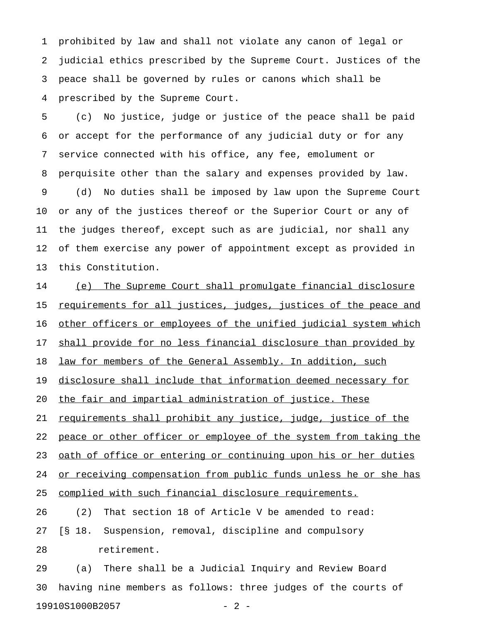1 prohibited by law and shall not violate any canon of legal or 2 judicial ethics prescribed by the Supreme Court. Justices of the 3 peace shall be governed by rules or canons which shall be 4 prescribed by the Supreme Court.

5 (c) No justice, judge or justice of the peace shall be paid 6 or accept for the performance of any judicial duty or for any 7 service connected with his office, any fee, emolument or 8 perquisite other than the salary and expenses provided by law. 9 (d) No duties shall be imposed by law upon the Supreme Court 10 or any of the justices thereof or the Superior Court or any of 11 the judges thereof, except such as are judicial, nor shall any 12 of them exercise any power of appointment except as provided in 13 this Constitution.

14 (e) The Supreme Court shall promulgate financial disclosure 15 <u>requirements for all justices, judges, justices of the peace and</u> 16 other officers or employees of the unified judicial system which 17 shall provide for no less financial disclosure than provided by 18 law for members of the General Assembly. In addition, such 19 disclosure shall include that information deemed necessary for 20 the fair and impartial administration of justice. These 21 requirements shall prohibit any justice, judge, justice of the 22 peace or other officer or employee of the system from taking the 23 oath of office or entering or continuing upon his or her duties 24 or receiving compensation from public funds unless he or she has 25 complied with such financial disclosure requirements. 26 (2) That section 18 of Article V be amended to read: 27 [§ 18. Suspension, removal, discipline and compulsory 28 retirement.

29 (a) There shall be a Judicial Inquiry and Review Board 30 having nine members as follows: three judges of the courts of 19910S1000B2057 - 2 -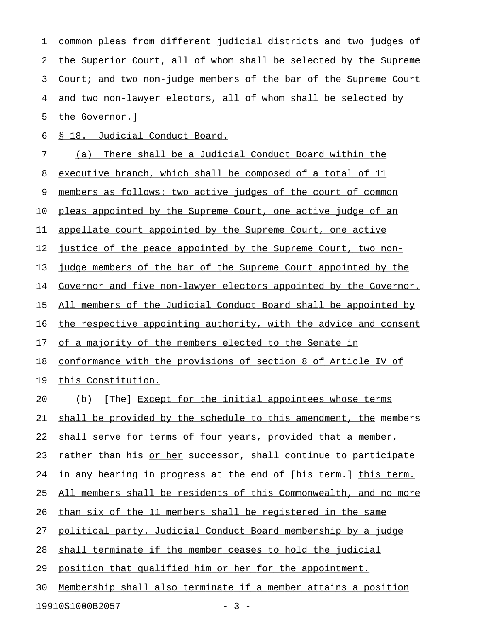1 common pleas from different judicial districts and two judges of 2 the Superior Court, all of whom shall be selected by the Supreme 3 Court; and two non-judge members of the bar of the Supreme Court 4 and two non-lawyer electors, all of whom shall be selected by 5 the Governor.]

6 § 18. Judicial Conduct Board.

7 (a) There shall be a Judicial Conduct Board within the 8 executive branch, which shall be composed of a total of 11 9 members as follows: two active judges of the court of common 10 pleas appointed by the Supreme Court, one active judge of an 11 appellate court appointed by the Supreme Court, one active 12 justice of the peace appointed by the Supreme Court, two non-13 judge members of the bar of the Supreme Court appointed by the 14 Governor and five non-lawyer electors appointed by the Governor. 15 All members of the Judicial Conduct Board shall be appointed by 16 the respective appointing authority, with the advice and consent 17 of a majority of the members elected to the Senate in 18 conformance with the provisions of section 8 of Article IV of 19 this Constitution. 20 (b) [The] Except for the initial appointees whose terms 21 shall be provided by the schedule to this amendment, the members 22 shall serve for terms of four years, provided that a member, 23 rather than his or her successor, shall continue to participate 24 in any hearing in progress at the end of [his term.] this term. 25 All members shall be residents of this Commonwealth, and no more 26 than six of the 11 members shall be registered in the same 27 political party. Judicial Conduct Board membership by a judge 28 shall terminate if the member ceases to hold the judicial 29 position that qualified him or her for the appointment. 30 Membership shall also terminate if a member attains a position

19910S1000B2057 - 3 -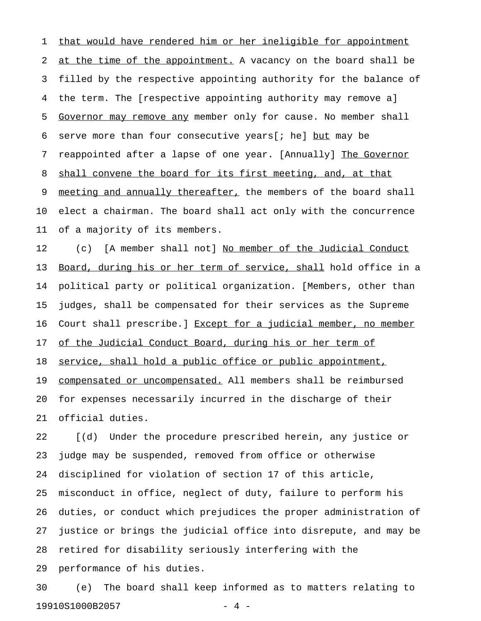1 that would have rendered him or her ineligible for appointment 2 at the time of the appointment. A vacancy on the board shall be 3 filled by the respective appointing authority for the balance of 4 the term. The [respective appointing authority may remove a] 5 Governor may remove any member only for cause. No member shall \_\_\_\_\_\_\_\_\_\_\_\_\_\_\_\_\_\_\_\_\_\_\_ 6 serve more than four consecutive years[; he] but may be 7 reappointed after a lapse of one year. [Annually] The Governor 8 shall convene the board for its first meeting, and, at that 9 meeting and annually thereafter, the members of the board shall 10 elect a chairman. The board shall act only with the concurrence 11 of a majority of its members.

12 (c) [A member shall not] No member of the Judicial Conduct 13 Board, during his or her term of service, shall hold office in a 14 political party or political organization. [Members, other than 15 judges, shall be compensated for their services as the Supreme 16 Court shall prescribe.] Except for a judicial member, no member 17 of the Judicial Conduct Board, during his or her term of 18 service, shall hold a public office or public appointment, 19 compensated or uncompensated. All members shall be reimbursed 20 for expenses necessarily incurred in the discharge of their 21 official duties.

22 [(d) Under the procedure prescribed herein, any justice or 23 judge may be suspended, removed from office or otherwise 24 disciplined for violation of section 17 of this article, 25 misconduct in office, neglect of duty, failure to perform his 26 duties, or conduct which prejudices the proper administration of 27 justice or brings the judicial office into disrepute, and may be 28 retired for disability seriously interfering with the 29 performance of his duties.

30 (e) The board shall keep informed as to matters relating to 19910S1000B2057 - 4 -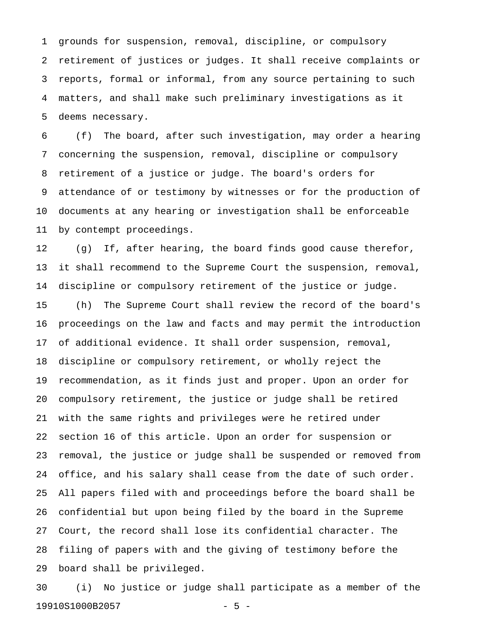1 grounds for suspension, removal, discipline, or compulsory 2 retirement of justices or judges. It shall receive complaints or 3 reports, formal or informal, from any source pertaining to such 4 matters, and shall make such preliminary investigations as it 5 deems necessary.

6 (f) The board, after such investigation, may order a hearing 7 concerning the suspension, removal, discipline or compulsory 8 retirement of a justice or judge. The board's orders for 9 attendance of or testimony by witnesses or for the production of 10 documents at any hearing or investigation shall be enforceable 11 by contempt proceedings.

12 (g) If, after hearing, the board finds good cause therefor, 13 it shall recommend to the Supreme Court the suspension, removal, 14 discipline or compulsory retirement of the justice or judge.

15 (h) The Supreme Court shall review the record of the board's 16 proceedings on the law and facts and may permit the introduction 17 of additional evidence. It shall order suspension, removal, 18 discipline or compulsory retirement, or wholly reject the 19 recommendation, as it finds just and proper. Upon an order for 20 compulsory retirement, the justice or judge shall be retired 21 with the same rights and privileges were he retired under 22 section 16 of this article. Upon an order for suspension or 23 removal, the justice or judge shall be suspended or removed from 24 office, and his salary shall cease from the date of such order. 25 All papers filed with and proceedings before the board shall be 26 confidential but upon being filed by the board in the Supreme 27 Court, the record shall lose its confidential character. The 28 filing of papers with and the giving of testimony before the 29 board shall be privileged.

30 (i) No justice or judge shall participate as a member of the 19910S1000B2057 - 5 -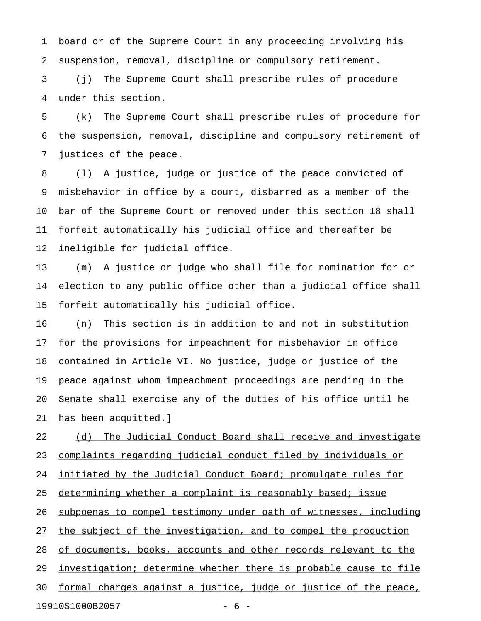1 board or of the Supreme Court in any proceeding involving his 2 suspension, removal, discipline or compulsory retirement.

3 (j) The Supreme Court shall prescribe rules of procedure 4 under this section.

5 (k) The Supreme Court shall prescribe rules of procedure for 6 the suspension, removal, discipline and compulsory retirement of 7 justices of the peace.

8 (l) A justice, judge or justice of the peace convicted of 9 misbehavior in office by a court, disbarred as a member of the 10 bar of the Supreme Court or removed under this section 18 shall 11 forfeit automatically his judicial office and thereafter be 12 ineligible for judicial office.

13 (m) A justice or judge who shall file for nomination for or 14 election to any public office other than a judicial office shall 15 forfeit automatically his judicial office.

16 (n) This section is in addition to and not in substitution 17 for the provisions for impeachment for misbehavior in office 18 contained in Article VI. No justice, judge or justice of the 19 peace against whom impeachment proceedings are pending in the 20 Senate shall exercise any of the duties of his office until he 21 has been acquitted.]

22 (d) The Judicial Conduct Board shall receive and investigate 23 complaints regarding judicial conduct filed by individuals or 24 initiated by the Judicial Conduct Board; promulgate rules for 25 determining whether a complaint is reasonably based; issue 26 subpoenas to compel testimony under oath of witnesses, including 27 the subject of the investigation, and to compel the production 28 of documents, books, accounts and other records relevant to the 29 investigation; determine whether there is probable cause to file 30 formal charges against a justice, judge or justice of the peace, 19910S1000B2057 - 6 -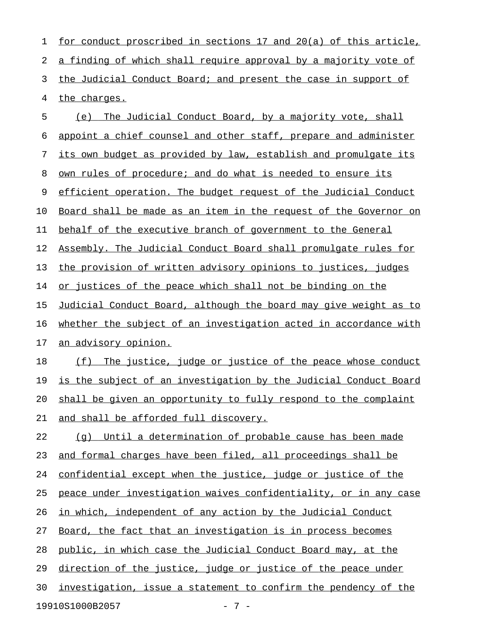1 for conduct proscribed in sections 17 and 20(a) of this article, 2 a finding of which shall require approval by a majority vote of 3 the Judicial Conduct Board; and present the case in support of 4 the charges. 5 (e) The Judicial Conduct Board, by a majority vote, shall 6 appoint a chief counsel and other staff, prepare and administer 7 its own budget as provided by law, establish and promulgate its

8 own rules of procedure; and do what is needed to ensure its

9 efficient operation. The budget request of the Judicial Conduct

10 Board shall be made as an item in the request of the Governor on

11 behalf of the executive branch of government to the General

12 Assembly. The Judicial Conduct Board shall promulgate rules for

13 the provision of written advisory opinions to justices, judges

14 or justices of the peace which shall not be binding on the

15 Judicial Conduct Board, although the board may give weight as to 16 whether the subject of an investigation acted in accordance with

17 an advisory opinion.

18 (f) The justice, judge or justice of the peace whose conduct 19 is the subject of an investigation by the Judicial Conduct Board 20 shall be given an opportunity to fully respond to the complaint 21 and shall be afforded full discovery.

 $22$  (g) Until a determination of probable cause has been made 23 and formal charges have been filed, all proceedings shall be 24 confidential except when the justice, judge or justice of the 25 peace under investigation waives confidentiality, or in any case 26 in which, independent of any action by the Judicial Conduct 27 Board, the fact that an investigation is in process becomes 28 public, in which case the Judicial Conduct Board may, at the 29 direction of the justice, judge or justice of the peace under 30 investigation, issue a statement to confirm the pendency of the

19910S1000B2057 - 7 -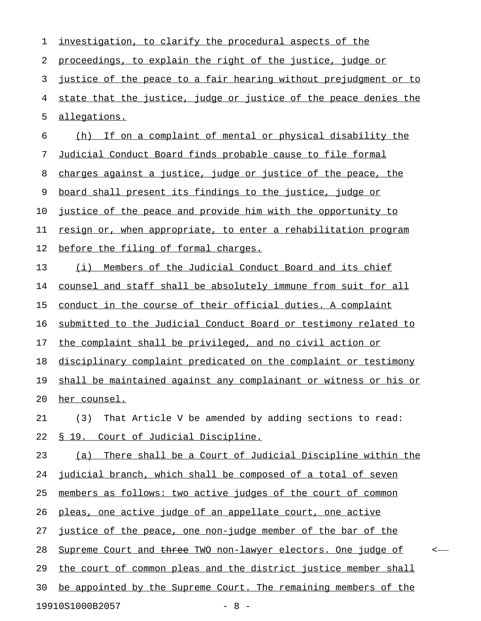| 1  | investigation, to clarify the procedural aspects of the          |
|----|------------------------------------------------------------------|
| 2  | proceedings, to explain the right of the justice, judge or       |
| 3  | justice of the peace to a fair hearing without prejudgment or to |
| 4  | state that the justice, judge or justice of the peace denies the |
| 5  | allegations.                                                     |
| 6  | If on a complaint of mental or physical disability the<br>(h)    |
| 7  | Judicial Conduct Board finds probable cause to file formal       |
| 8  | charges against a justice, judge or justice of the peace, the    |
| 9  | board shall present its findings to the justice, judge or        |
| 10 | justice of the peace and provide him with the opportunity to     |
| 11 | resign or, when appropriate, to enter a rehabilitation program   |
| 12 | before the filing of formal charges.                             |
| 13 | Members of the Judicial Conduct Board and its chief<br>(i)       |
| 14 | counsel and staff shall be absolutely immune from suit for all   |
| 15 | conduct in the course of their official duties. A complaint      |
| 16 | submitted to the Judicial Conduct Board or testimony related to  |
| 17 | the complaint shall be privileged, and no civil action or        |
| 18 | disciplinary complaint predicated on the complaint or testimony  |
| 19 | shall be maintained against any complainant or witness or his or |
| 20 | her counsel.                                                     |
| 21 | That Article V be amended by adding sections to read:<br>(3)     |
| 22 | <u>§ 19. Court of Judicial Discipline.</u>                       |
| 23 | (a) There shall be a Court of Judicial Discipline within the     |
| 24 | judicial branch, which shall be composed of a total of seven     |
| 25 | members as follows: two active judges of the court of common     |
| 26 | pleas, one active judge of an appellate court, one active        |
| 27 | justice of the peace, one non-judge member of the bar of the     |
| 28 | Supreme Court and three TWO non-lawyer electors. One judge of    |
| 29 | the court of common pleas and the district justice member shall  |
| 30 | be appointed by the Supreme Court. The remaining members of the  |
|    | 19910S1000B2057<br>$-8 -$                                        |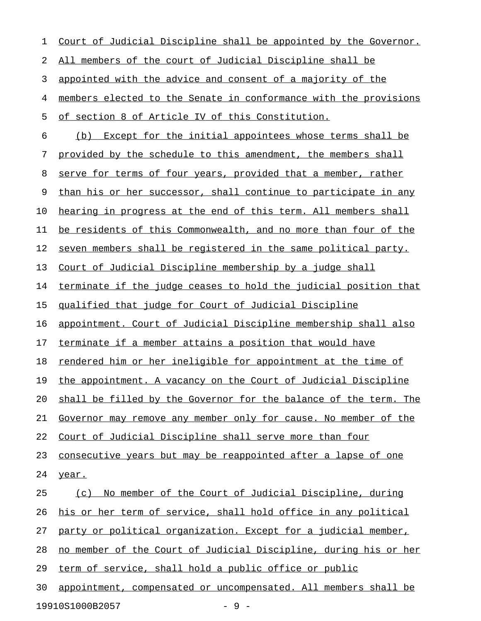| 1  | Court of Judicial Discipline shall be appointed by the Governor. |
|----|------------------------------------------------------------------|
| 2  | All members of the court of Judicial Discipline shall be         |
| 3  | appointed with the advice and consent of a majority of the       |
| 4  | members elected to the Senate in conformance with the provisions |
| 5  | of section 8 of Article IV of this Constitution.                 |
| 6  | (b) Except for the initial appointees whose terms shall be       |
| 7  | provided by the schedule to this amendment, the members shall    |
| 8  | serve for terms of four years, provided that a member, rather    |
| 9  | than his or her successor, shall continue to participate in any  |
| 10 | hearing in progress at the end of this term. All members shall   |
| 11 | be residents of this Commonwealth, and no more than four of the  |
| 12 | seven members shall be registered in the same political party.   |
| 13 | Court of Judicial Discipline membership by a judge shall         |
| 14 | terminate if the judge ceases to hold the judicial position that |
| 15 | <u>qualified that judge for Court of Judicial Discipline</u>     |
| 16 | appointment. Court of Judicial Discipline membership shall also  |
| 17 | terminate if a member attains a position that would have         |
| 18 | rendered him or her ineligible for appointment at the time of    |
| 19 | the appointment. A vacancy on the Court of Judicial Discipline   |
| 20 | shall be filled by the Governor for the balance of the term. The |
| 21 | Governor may remove any member only for cause. No member of the  |
| 22 | Court of Judicial Discipline shall serve more than four          |
| 23 | consecutive years but may be reappointed after a lapse of one    |
| 24 | year.                                                            |
| 25 | No member of the Court of Judicial Discipline, during<br>(c)     |
| 26 | his or her term of service, shall hold office in any political   |
| 27 | party or political organization. Except for a judicial member,   |
| 28 | no member of the Court of Judicial Discipline, during his or her |
| 29 | term of service, shall hold a public office or public            |
| 30 | appointment, compensated or uncompensated. All members shall be  |
|    | 19910S1000B2057<br>$-9-$                                         |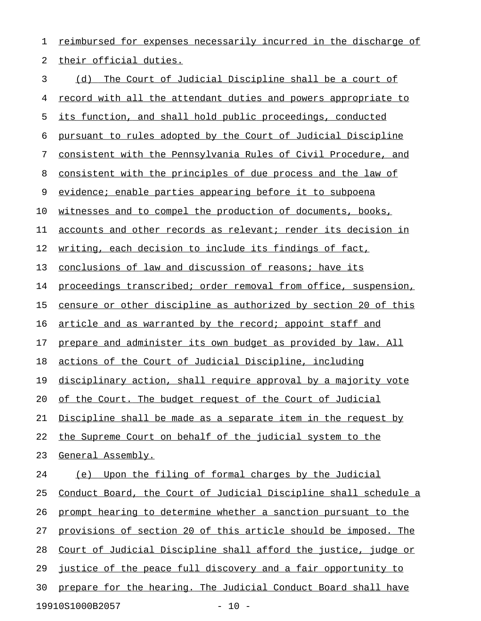1 reimbursed for expenses necessarily incurred in the discharge of 2 their official duties.

3 (d) The Court of Judicial Discipline shall be a court of 4 record with all the attendant duties and powers appropriate to 5 its function, and shall hold public proceedings, conducted 6 pursuant to rules adopted by the Court of Judicial Discipline 7 consistent with the Pennsylvania Rules of Civil Procedure, and 8 consistent with the principles of due process and the law of 9 evidence; enable parties appearing before it to subpoena 10 witnesses and to compel the production of documents, books, 11 accounts and other records as relevant; render its decision in 12 writing, each decision to include its findings of fact, 13 conclusions of law and discussion of reasons; have its 14 proceedings transcribed; order removal from office, suspension, 15 censure or other discipline as authorized by section 20 of this 16 article and as warranted by the record; appoint staff and 17 prepare and administer its own budget as provided by law. All 18 actions of the Court of Judicial Discipline, including 19 disciplinary action, shall require approval by a majority vote 20 of the Court. The budget request of the Court of Judicial 21 Discipline shall be made as a separate item in the request by 22 the Supreme Court on behalf of the judicial system to the 23 General Assembly. 24 (e) Upon the filing of formal charges by the Judicial 25 Conduct Board, the Court of Judicial Discipline shall schedule a 26 prompt hearing to determine whether a sanction pursuant to the 27 provisions of section 20 of this article should be imposed. The 28 Court of Judicial Discipline shall afford the justice, judge or 29 justice of the peace full discovery and a fair opportunity to 30 prepare for the hearing. The Judicial Conduct Board shall have 19910S1000B2057 - 10 -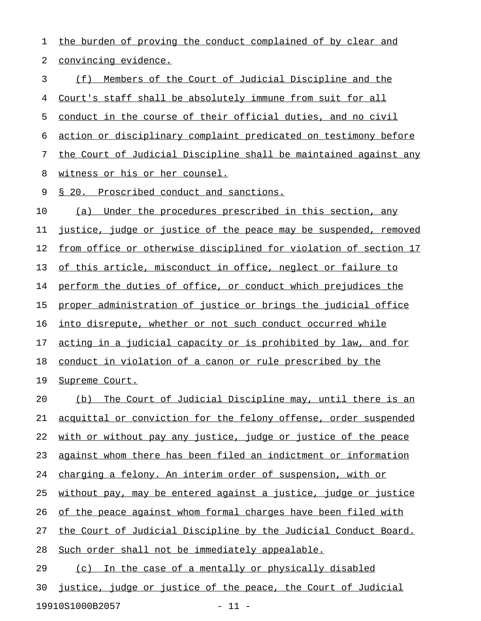1 the burden of proving the conduct complained of by clear and 2 convincing evidence. 3 (f) Members of the Court of Judicial Discipline and the 4 Court's staff shall be absolutely immune from suit for all 5 conduct in the course of their official duties, and no civil 6 action or disciplinary complaint predicated on testimony before 7 the Court of Judicial Discipline shall be maintained against any 8 witness or his or her counsel. 9 § 20. Proscribed conduct and sanctions. 10 (a) Under the procedures prescribed in this section, any 11 justice, judge or justice of the peace may be suspended, removed 12 from office or otherwise disciplined for violation of section 17 13 of this article, misconduct in office, neglect or failure to 14 perform the duties of office, or conduct which prejudices the 15 proper administration of justice or brings the judicial office 16 into disrepute, whether or not such conduct occurred while 17 acting in a judicial capacity or is prohibited by law, and for 18 conduct in violation of a canon or rule prescribed by the 19 Supreme Court. 20 (b) The Court of Judicial Discipline may, until there is an 21 acquittal or conviction for the felony offense, order suspended 22 with or without pay any justice, judge or justice of the peace 23 against whom there has been filed an indictment or information 24 charging a felony. An interim order of suspension, with or 25 without pay, may be entered against a justice, judge or justice 26 of the peace against whom formal charges have been filed with 27 the Court of Judicial Discipline by the Judicial Conduct Board. 28 Such order shall not be immediately appealable. 29 (c) In the case of a mentally or physically disabled 30 justice, judge or justice of the peace, the Court of Judicial

19910S1000B2057 - 11 -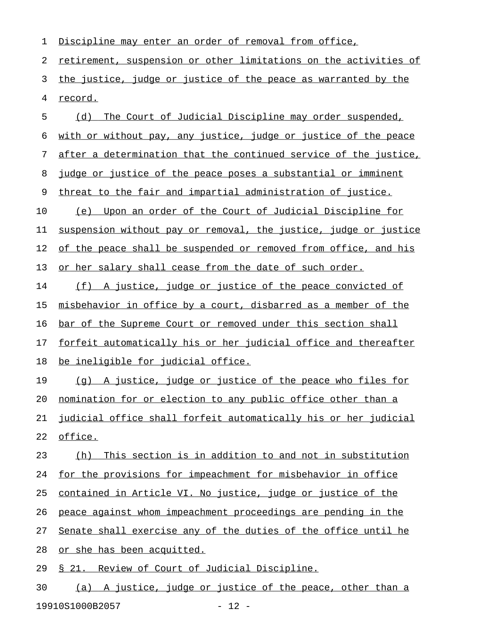1 Discipline may enter an order of removal from office, 2 retirement, suspension or other limitations on the activities of 3 the justice, judge or justice of the peace as warranted by the 4 record. 5 (d) The Court of Judicial Discipline may order suspended, 6 with or without pay, any justice, judge or justice of the peace 7 after a determination that the continued service of the justice, 8 judge or justice of the peace poses a substantial or imminent 9 threat to the fair and impartial administration of justice. 10 (e) Upon an order of the Court of Judicial Discipline for 11 suspension without pay or removal, the justice, judge or justice 12 of the peace shall be suspended or removed from office, and his 13 or her salary shall cease from the date of such order. 14 (f) A justice, judge or justice of the peace convicted of 15 misbehavior in office by a court, disbarred as a member of the 16 bar of the Supreme Court or removed under this section shall 17 forfeit automatically his or her judicial office and thereafter 18 be ineligible for judicial office. 19 (q) A justice, judge or justice of the peace who files for 20 nomination for or election to any public office other than a 21 judicial office shall forfeit automatically his or her judicial 22 office. 23 (h) This section is in addition to and not in substitution 24 for the provisions for impeachment for misbehavior in office 25 contained in Article VI. No justice, judge or justice of the 26 peace against whom impeachment proceedings are pending in the 27 Senate shall exercise any of the duties of the office until he 28 or she has been acquitted. 29 § 21. Review of Court of Judicial Discipline. 30 (a) A justice, judge or justice of the peace, other than a 19910S1000B2057 - 12 -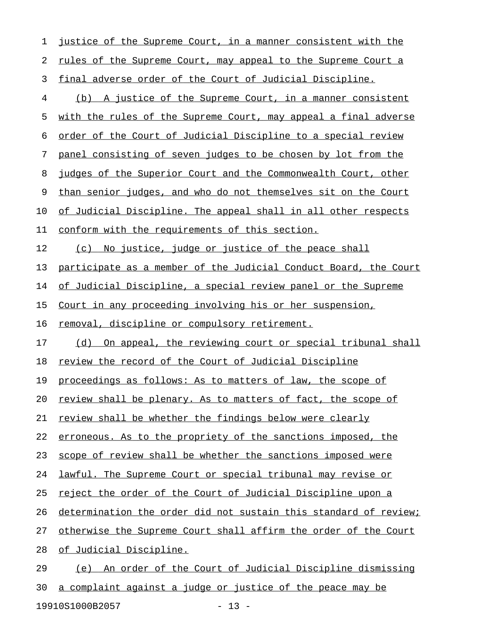| 1  | justice of the Supreme Court, in a manner consistent with the        |
|----|----------------------------------------------------------------------|
| 2  | rules of the Supreme Court, may appeal to the Supreme Court a        |
| 3  | final adverse order of the Court of Judicial Discipline.             |
| 4  | (b) A justice of the Supreme Court, in a manner consistent           |
| 5  | with the rules of the Supreme Court, may appeal a final adverse      |
| 6  | <u>order of the Court of Judicial Discipline to a special review</u> |
| 7  | panel consisting of seven judges to be chosen by lot from the        |
| 8  | judges of the Superior Court and the Commonwealth Court, other       |
| 9  | than senior judges, and who do not themselves sit on the Court       |
| 10 | of Judicial Discipline. The appeal shall in all other respects       |
| 11 | conform with the requirements of this section.                       |
| 12 | (c) No justice, judge or justice of the peace shall                  |
| 13 | participate as a member of the Judicial Conduct Board, the Court     |
| 14 | of Judicial Discipline, a special review panel or the Supreme        |
| 15 | Court in any proceeding involving his or her suspension,             |
| 16 | removal, discipline or compulsory retirement.                        |
| 17 | (d) On appeal, the reviewing court or special tribunal shall         |
| 18 | review the record of the Court of Judicial Discipline                |
| 19 | proceedings as follows: As to matters of law, the scope of           |
| 20 | review shall be plenary. As to matters of fact, the scope of         |
| 21 | review shall be whether the findings below were clearly              |
| 22 | erroneous. As to the propriety of the sanctions imposed, the         |
| 23 | scope of review shall be whether the sanctions imposed were          |
| 24 | lawful. The Supreme Court or special tribunal may revise or          |
| 25 | reject the order of the Court of Judicial Discipline upon a          |
| 26 | determination the order did not sustain this standard of review;     |
| 27 | otherwise the Supreme Court shall affirm the order of the Court      |
| 28 | of Judicial Discipline.                                              |
| 29 | (e) An order of the Court of Judicial Discipline dismissing          |
|    |                                                                      |

19910S1000B2057 - 13 -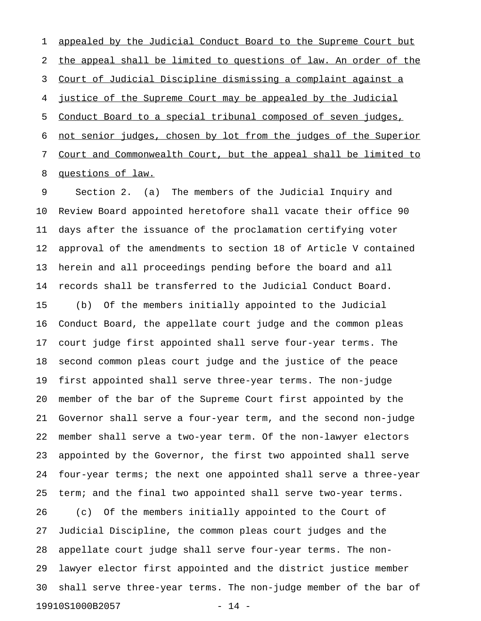1 appealed by the Judicial Conduct Board to the Supreme Court but 2 the appeal shall be limited to questions of law. An order of the 3 Court of Judicial Discipline dismissing a complaint against a 4 justice of the Supreme Court may be appealed by the Judicial 5 Conduct Board to a special tribunal composed of seven judges, 6 not senior judges, chosen by lot from the judges of the Superior 7 Court and Commonwealth Court, but the appeal shall be limited to 8 questions of law.

9 Section 2. (a) The members of the Judicial Inquiry and 10 Review Board appointed heretofore shall vacate their office 90 11 days after the issuance of the proclamation certifying voter 12 approval of the amendments to section 18 of Article V contained 13 herein and all proceedings pending before the board and all 14 records shall be transferred to the Judicial Conduct Board. 15 (b) Of the members initially appointed to the Judicial 16 Conduct Board, the appellate court judge and the common pleas 17 court judge first appointed shall serve four-year terms. The 18 second common pleas court judge and the justice of the peace 19 first appointed shall serve three-year terms. The non-judge 20 member of the bar of the Supreme Court first appointed by the 21 Governor shall serve a four-year term, and the second non-judge 22 member shall serve a two-year term. Of the non-lawyer electors 23 appointed by the Governor, the first two appointed shall serve 24 four-year terms; the next one appointed shall serve a three-year 25 term; and the final two appointed shall serve two-year terms. 26 (c) Of the members initially appointed to the Court of 27 Judicial Discipline, the common pleas court judges and the 28 appellate court judge shall serve four-year terms. The non-29 lawyer elector first appointed and the district justice member 30 shall serve three-year terms. The non-judge member of the bar of 19910S1000B2057 - 14 -